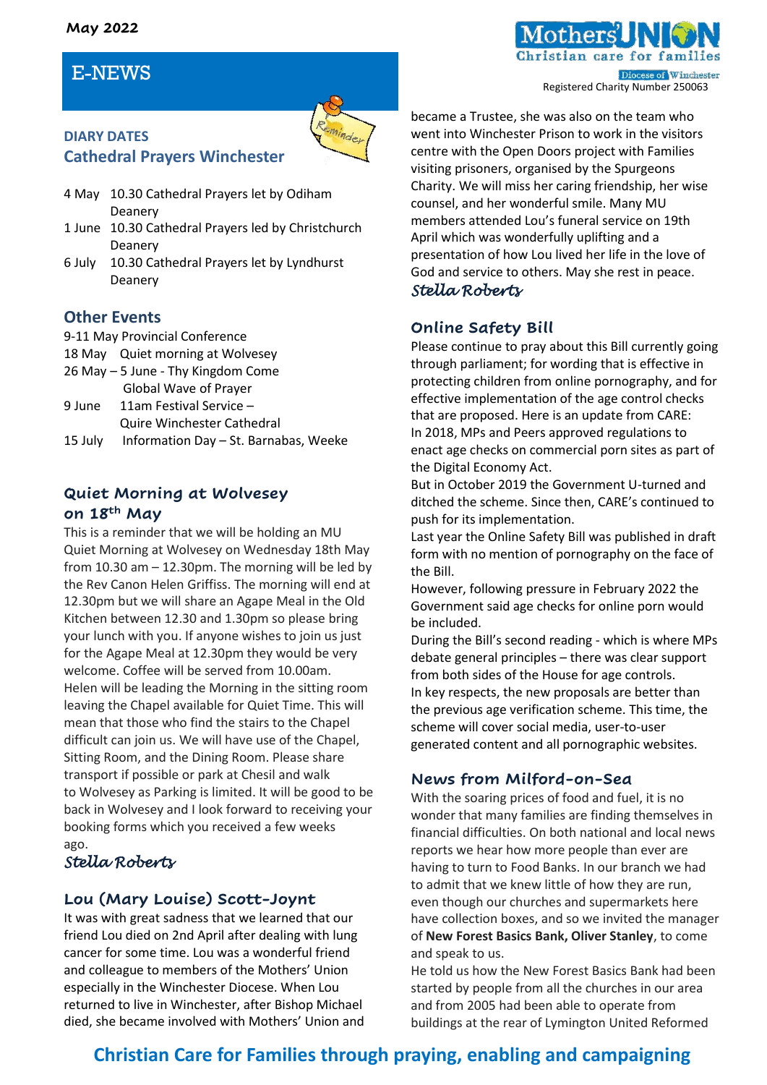#### **May 2022**

## E-NEWS

**DIARY DATES**



# **Cathedral Prayers Winchester**

- 4 May 10.30 Cathedral Prayers let by Odiham Deanery
- 1 June 10.30 Cathedral Prayers led by Christchurch Deanery
- 6 July 10.30 Cathedral Prayers let by Lyndhurst Deanery

#### **Other Events**

- 9-11 May Provincial Conference
- 18 May Quiet morning at Wolvesey
- 26 May 5 June Thy Kingdom Come Global Wave of Prayer
- 9 June 11am Festival Service Quire Winchester Cathedral
- 15 July Information Day St. Barnabas, Weeke

#### **Quiet Morning at Wolvesey on 18th May**

This is a reminder that we will be holding an MU Quiet Morning at Wolvesey on Wednesday 18th May from 10.30 am – 12.30pm. The morning will be led by the Rev Canon Helen Griffiss. The morning will end at 12.30pm but we will share an Agape Meal in the Old Kitchen between 12.30 and 1.30pm so please bring your lunch with you. If anyone wishes to join us just for the Agape Meal at 12.30pm they would be very welcome. Coffee will be served from 10.00am. Helen will be leading the Morning in the sitting room leaving the Chapel available for Quiet Time. This will mean that those who find the stairs to the Chapel difficult can join us. We will have use of the Chapel, Sitting Room, and the Dining Room. Please share transport if possible or park at Chesil and walk to Wolvesey as Parking is limited. It will be good to be back in Wolvesey and I look forward to receiving your booking forms which you received a few weeks ago.

## *Stella Roberts*

## **Lou (Mary Louise) Scott-Joynt**

It was with great sadness that we learned that our friend Lou died on 2nd April after dealing with lung cancer for some time. Lou was a wonderful friend and colleague to members of the Mothers' Union especially in the Winchester Diocese. When Lou returned to live in Winchester, after Bishop Michael died, she became involved with Mothers' Union and became a Trustee, she was also on the team who went into Winchester Prison to work in the visitors centre with the Open Doors project with Families visiting prisoners, organised by the Spurgeons Charity. We will miss her caring friendship, her wise counsel, and her wonderful smile. Many MU members attended Lou's funeral service on 19th April which was wonderfully uplifting and a presentation of how Lou lived her life in the love of God and service to others. May she rest in peace.

#### *Stella Roberts*

#### **Online Safety Bill**

Please continue to pray about this Bill currently going through parliament; for wording that is effective in protecting children from online pornography, and for effective implementation of the age control checks that are proposed. Here is an update from CARE: In 2018, MPs and Peers approved regulations to enact age checks on commercial porn sites as part of the Digital Economy Act.

But in October 2019 the Government U-turned and ditched the scheme. Since then, CARE's continued to push for its implementation.

Last year the Online Safety Bill was published in draft form with no mention of pornography on the face of the Bill.

However, following pressure in February 2022 the Government said age checks for online porn would be included.

During the Bill's second reading - which is where MPs debate general principles – there was clear support from both sides of the House for age controls. In key respects, the new proposals are better than the previous age verification scheme. This time, the scheme will cover social media, user-to-user generated content and all pornographic websites.

## **News from Milford-on-Sea**

With the soaring prices of food and fuel, it is no wonder that many families are finding themselves in financial difficulties. On both national and local news reports we hear how more people than ever are having to turn to Food Banks. In our branch we had to admit that we knew little of how they are run, even though our churches and supermarkets here have collection boxes, and so we invited the manager of **New Forest Basics Bank, Oliver Stanley**, to come and speak to us.

He told us how the New Forest Basics Bank had been started by people from all the churches in our area and from 2005 had been able to operate from buildings at the rear of Lymington United Reformed

# **Christian Care for Families through praying, enabling and campaigning**

istian care for far Diocese of Winchester Registered Charity Number 250063